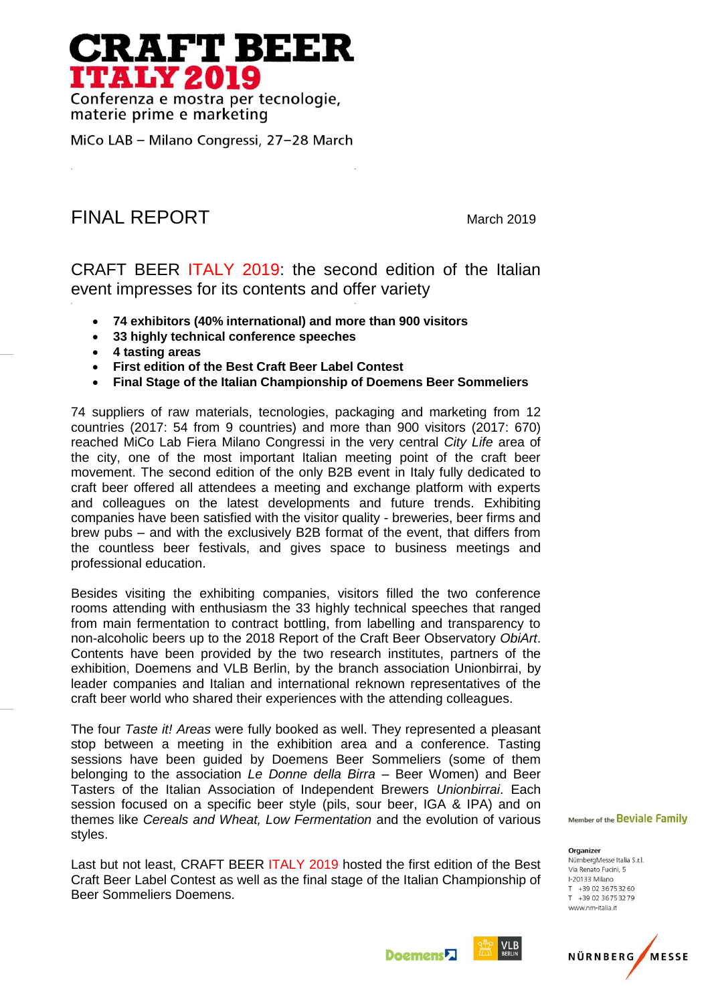## **RAFT BEER ITALY 2019**

Conferenza e mostra per tecnologie, materie prime e marketing

MiCo LAB - Milano Congressi, 27-28 March

## FINAL REPORTMarch <sup>2019</sup>

CRAFT BEER ITALY 2019: the second edition of the Italian event impresses for its contents and offer variety

- **74 exhibitors (40% international) and more than 900 visitors**
- **33 highly technical conference speeches**
- **4 tasting areas**
- **First edition of the Best Craft Beer Label Contest**
- **Final Stage of the Italian Championship of Doemens Beer Sommeliers**

74 suppliers of raw materials, tecnologies, packaging and marketing from 12 countries (2017: 54 from 9 countries) and more than 900 visitors (2017: 670) reached MiCo Lab Fiera Milano Congressi in the very central *City Life* area of the city, one of the most important Italian meeting point of the craft beer movement. The second edition of the only B2B event in Italy fully dedicated to craft beer offered all attendees a meeting and exchange platform with experts and colleagues on the latest developments and future trends. Exhibiting companies have been satisfied with the visitor quality - breweries, beer firms and brew pubs – and with the exclusively B2B format of the event, that differs from the countless beer festivals, and gives space to business meetings and professional education.

Besides visiting the exhibiting companies, visitors filled the two conference rooms attending with enthusiasm the 33 highly technical speeches that ranged from main fermentation to contract bottling, from labelling and transparency to non-alcoholic beers up to the 2018 Report of the Craft Beer Observatory *ObiArt*. Contents have been provided by the two research institutes, partners of the exhibition, Doemens and VLB Berlin, by the branch association Unionbirrai, by leader companies and Italian and international reknown representatives of the craft beer world who shared their experiences with the attending colleagues.

The four *Taste it! Areas* were fully booked as well. They represented a pleasant stop between a meeting in the exhibition area and a conference. Tasting sessions have been guided by Doemens Beer Sommeliers (some of them belonging to the association *Le Donne della Birra* – Beer Women) and Beer Tasters of the Italian Association of Independent Brewers *Unionbirrai*. Each session focused on a specific beer style (pils, sour beer, IGA & IPA) and on themes like *Cereals and Wheat, Low Fermentation* and the evolution of various styles.

Last but not least, CRAFT BEER ITALY 2019 hosted the first edition of the Best Craft Beer Label Contest as well as the final stage of the Italian Championship of Beer Sommeliers Doemens.

Member of the Beviale Family

Organizer NürnbergMesse Italia S.r.l. Via Renato Fucini, 5 I-20133 Milano T +39 02 3675 32 60 T +39 02 36 75 32 79 www.nm-italia.it



**Doemens**